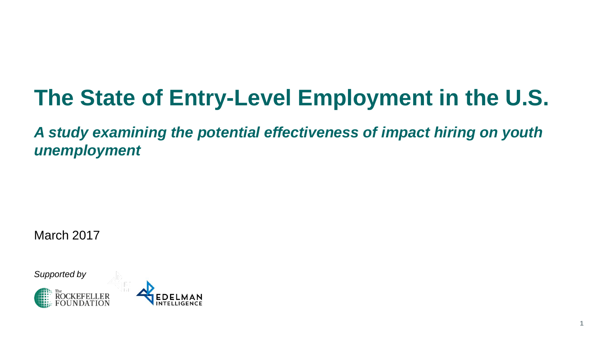### **The State of Entry-Level Employment in the U.S.**

*A study examining the potential effectiveness of impact hiring on youth unemployment*

**1**

March 2017

*Supported by*



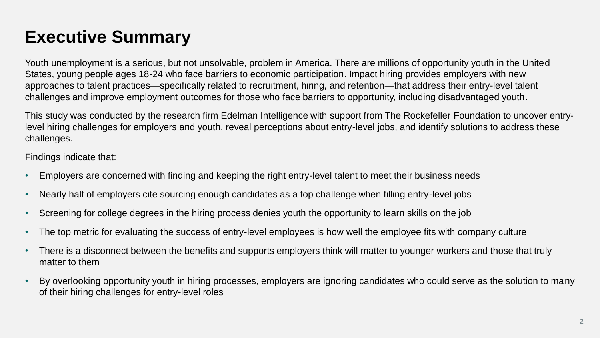### **Executive Summary**

Youth unemployment is a serious, but not unsolvable, problem in America. There are millions of opportunity youth in the United States, young people ages 18-24 who face barriers to economic participation. Impact hiring provides employers with new approaches to talent practices—specifically related to recruitment, hiring, and retention—that address their entry-level talent challenges and improve employment outcomes for those who face barriers to opportunity, including disadvantaged youth.

This study was conducted by the research firm Edelman Intelligence with support from The Rockefeller Foundation to uncover entrylevel hiring challenges for employers and youth, reveal perceptions about entry-level jobs, and identify solutions to address these challenges.

Findings indicate that:

- Employers are concerned with finding and keeping the right entry-level talent to meet their business needs
- Nearly half of employers cite sourcing enough candidates as a top challenge when filling entry-level jobs
- Screening for college degrees in the hiring process denies youth the opportunity to learn skills on the job
- The top metric for evaluating the success of entry-level employees is how well the employee fits with company culture
- There is a disconnect between the benefits and supports employers think will matter to younger workers and those that truly matter to them
- By overlooking opportunity youth in hiring processes, employers are ignoring candidates who could serve as the solution to many of their hiring challenges for entry-level roles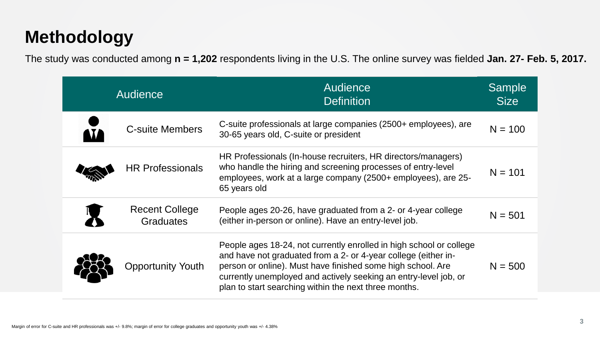### **Methodology**

The study was conducted among **n = 1,202** respondents living in the U.S. The online survey was fielded **Jan. 27- Feb. 5, 2017.**

| <b>Audience</b> |                                           | <b>Audience</b><br><b>Definition</b>                                                                                                                                                                                                                                                                                              | Sample<br><b>Size</b> |
|-----------------|-------------------------------------------|-----------------------------------------------------------------------------------------------------------------------------------------------------------------------------------------------------------------------------------------------------------------------------------------------------------------------------------|-----------------------|
|                 | <b>C-suite Members</b>                    | C-suite professionals at large companies (2500+ employees), are<br>30-65 years old, C-suite or president                                                                                                                                                                                                                          | $N = 100$             |
|                 | <b>HR Professionals</b>                   | HR Professionals (In-house recruiters, HR directors/managers)<br>who handle the hiring and screening processes of entry-level<br>employees, work at a large company (2500+ employees), are 25-<br>65 years old                                                                                                                    | $N = 101$             |
|                 | <b>Recent College</b><br><b>Graduates</b> | People ages 20-26, have graduated from a 2- or 4-year college<br>(either in-person or online). Have an entry-level job.                                                                                                                                                                                                           | $N = 501$             |
|                 | <b>Opportunity Youth</b>                  | People ages 18-24, not currently enrolled in high school or college<br>and have not graduated from a 2- or 4-year college (either in-<br>person or online). Must have finished some high school. Are<br>currently unemployed and actively seeking an entry-level job, or<br>plan to start searching within the next three months. | $N = 500$             |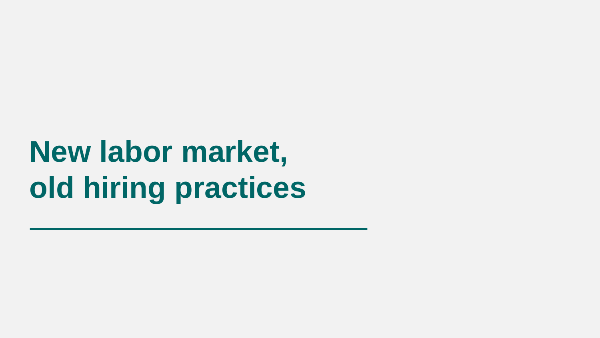# **New labor market, old hiring practices**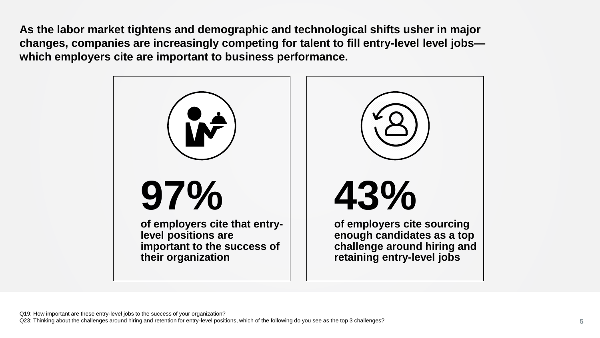**As the labor market tightens and demographic and technological shifts usher in major changes, companies are increasingly competing for talent to fill entry-level level jobs which employers cite are important to business performance.**

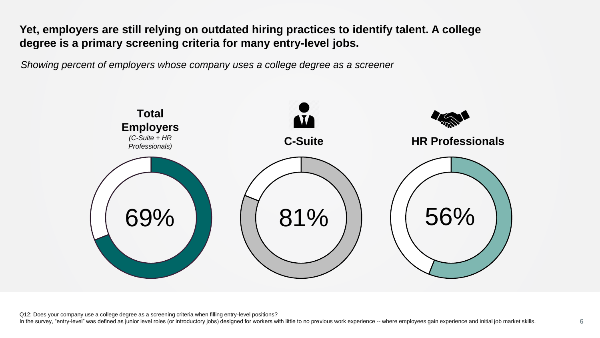**Yet, employers are still relying on outdated hiring practices to identify talent. A college degree is a primary screening criteria for many entry-level jobs.**

*Showing percent of employers whose company uses a college degree as a screener*



Q12: Does your company use a college degree as a screening criteria when filling entry-level positions?

In the survey, "entry-level" was defined as junior level roles (or introductory jobs) designed for workers with little to no previous work experience -- where employees gain experience and initial job market skills. **6**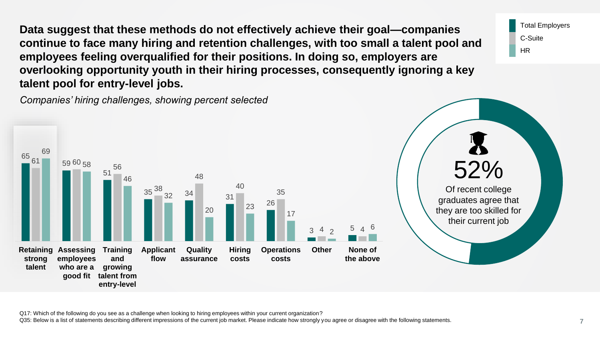**Data suggest that these methods do not effectively achieve their goal—companies continue to face many hiring and retention challenges, with too small a talent pool and employees feeling overqualified for their positions. In doing so, employers are overlooking opportunity youth in their hiring processes, consequently ignoring a key talent pool for entry-level jobs.** 

*Companies' hiring challenges, showing percent selected*



Q17: Which of the following do you see as a challenge when looking to hiring employees within your current organization?

Q35: Below is a list of statements describing different impressions of the current job market. Please indicate how strongly you agree or disagree with the following statements. **7** 

Total Employers

C-Suite

HR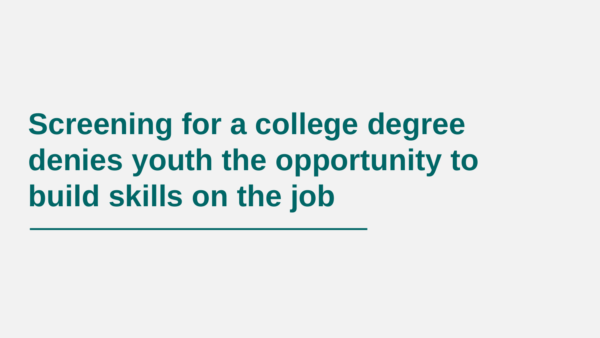# **Screening for a college degree denies youth the opportunity to build skills on the job**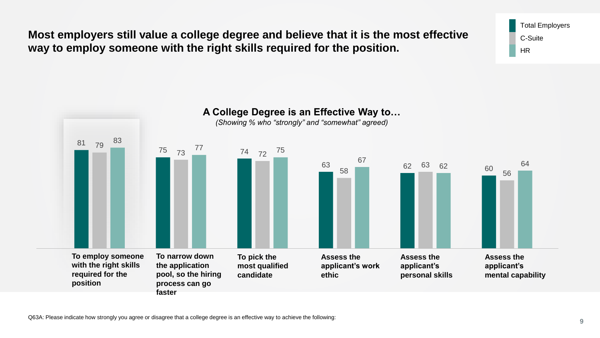**faster with the right skills required for the position**

**Most employers still value a college degree and believe that it is the most effective way to employ someone with the right skills required for the position.**



Total Employers C-Suite HR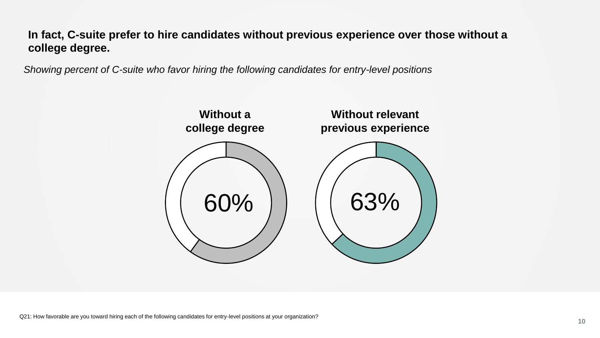#### **In fact, C-suite prefer to hire candidates without previous experience over those without a college degree.**

*Showing percent of C-suite who favor hiring the following candidates for entry-level positions*

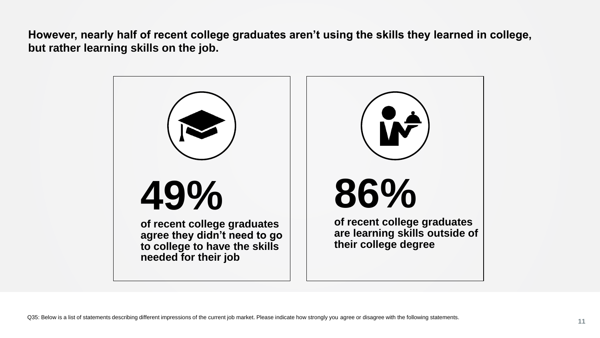**However, nearly half of recent college graduates aren't using the skills they learned in college, but rather learning skills on the job.**

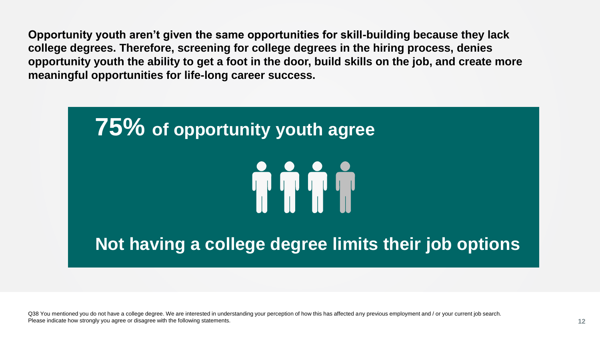**Opportunity youth aren't given the same opportunities for skill-building because they lack college degrees. Therefore, screening for college degrees in the hiring process, denies opportunity youth the ability to get a foot in the door, build skills on the job, and create more meaningful opportunities for life-long career success.**



Q38 You mentioned you do not have a college degree. We are interested in understanding your perception of how this has affected any previous employment and / or your current job search. Please indicate how strongly you agree or disagree with the following statements. **12**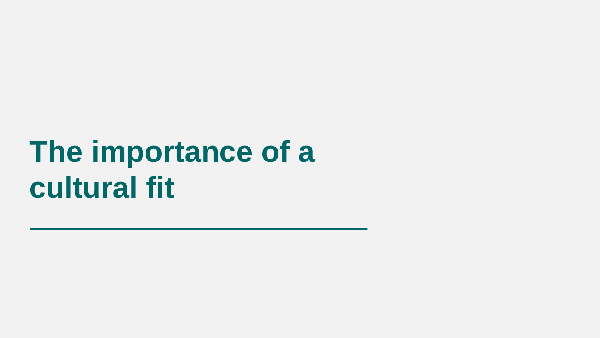## **The importance of a cultural fit**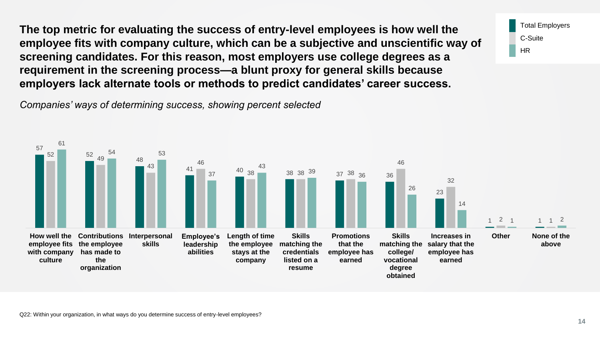**The top metric for evaluating the success of entry-level employees is how well the employee fits with company culture, which can be a subjective and unscientific way of screening candidates. For this reason, most employers use college degrees as a requirement in the screening process—a blunt proxy for general skills because employers lack alternate tools or methods to predict candidates' career success.** 

*Companies' ways of determining success, showing percent selected*



Q22: Within your organization, in what ways do you determine success of entry-level employees?

Total Employers

C-Suite

HR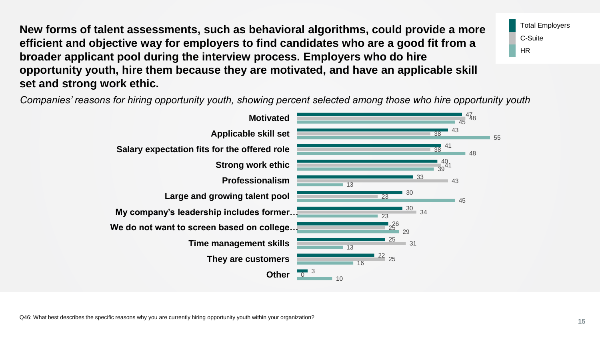**New forms of talent assessments, such as behavioral algorithms, could provide a more efficient and objective way for employers to find candidates who are a good fit from a broader applicant pool during the interview process. Employers who do hire opportunity youth, hire them because they are motivated, and have an applicable skill set and strong work ethic.**

Total Employers C-Suite HR

*Companies' reasons for hiring opportunity youth, showing percent selected among those who hire opportunity youth*

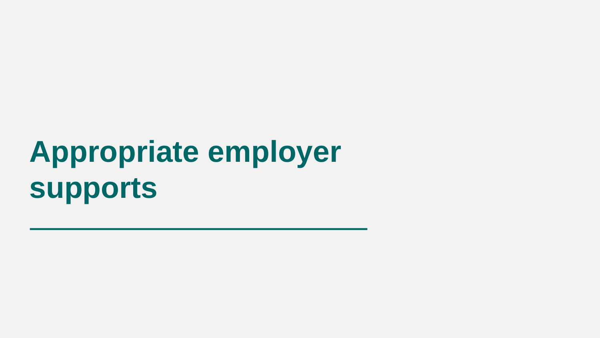# **Appropriate employer supports**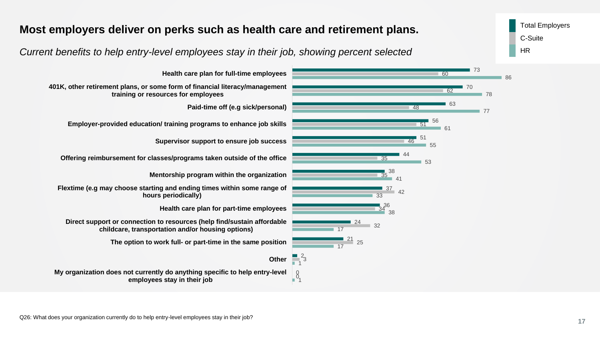### **Most employers deliver on perks such as health care and retirement plans.** Total Employers

*Current benefits to help entry-level employees stay in their job, showing percent selected*

24 21  $\frac{2}{1}^{2}$ 3  $\begin{matrix} 0 \\ 1 \end{matrix}$ 25 17 17 **Health care plan for full-time employees 401K, other retirement plans, or some form of financial literacy/management training or resources for employees Paid-time off (e.g sick/personal) Employer-provided education/ training programs to enhance job skills Supervisor support to ensure job success Offering reimbursement for classes/programs taken outside of the office Mentorship program within the organization Flextime (e.g may choose starting and ending times within some range of hours periodically) Health care plan for part-time employees Direct support or connection to resources (help find/sustain affordable childcare, transportation and/or housing options) The option to work full- or part-time in the same position Other My organization does not currently do anything specific to help entry-level employees stay in their job**

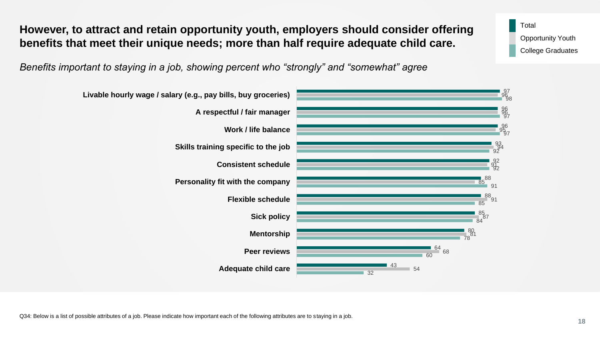Q34: Below is a list of possible attributes of a job. Please indicate how important each of the following attributes are to staying in a job.

*Benefits important to staying in a job, showing percent who "strongly" and "somewhat" agree*

**However, to attract and retain opportunity youth, employers should consider offering** 

**benefits that meet their unique needs; more than half require adequate child care.**



Total Opportunity Youth College Graduates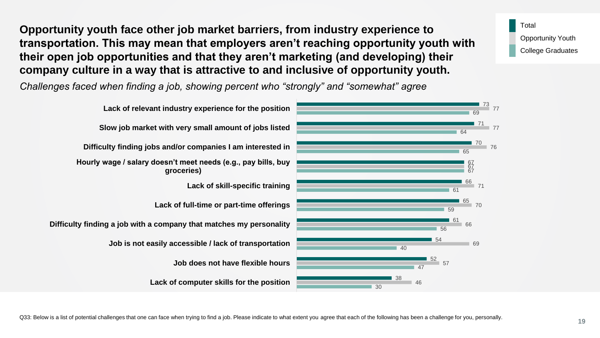**Opportunity youth face other job market barriers, from industry experience to transportation. This may mean that employers aren't reaching opportunity youth with their open job opportunities and that they aren't marketing (and developing) their company culture in a way that is attractive to and inclusive of opportunity youth.** 

*Challenges faced when finding a job, showing percent who "strongly" and "somewhat" agree*



Q33: Below is a list of potential challenges that one can face when trying to find a job. Please indicate to what extent you agree that each of the following has been a challenge for you, personally.

Total

Opportunity Youth College Graduates